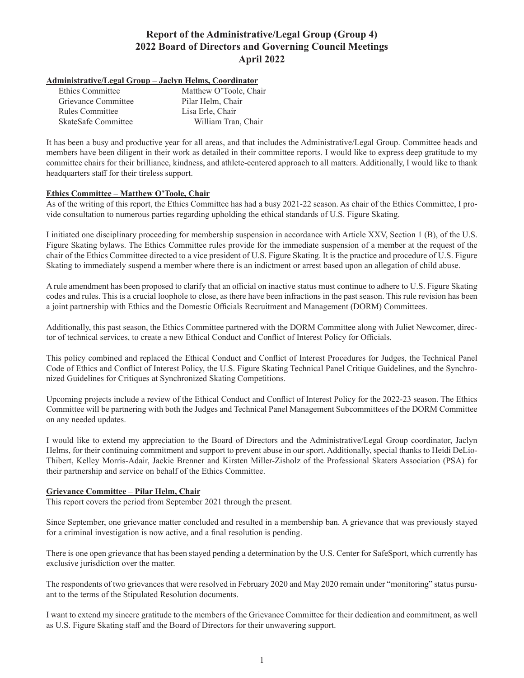# **Report of the Administrative/Legal Group (Group 4) 2022 Board of Directors and Governing Council Meetings April 2022**

### **Administrative/Legal Group – Jaclyn Helms, Coordinator**

| Ethics Committee    | Matthew O'Toole, Chair |
|---------------------|------------------------|
| Grievance Committee | Pilar Helm, Chair      |
| Rules Committee     | Lisa Erle, Chair       |
| SkateSafe Committee | William Tran, Chair    |

It has been a busy and productive year for all areas, and that includes the Administrative/Legal Group. Committee heads and members have been diligent in their work as detailed in their committee reports. I would like to express deep gratitude to my committee chairs for their brilliance, kindness, and athlete-centered approach to all matters. Additionally, I would like to thank headquarters staff for their tireless support.

### **Ethics Committee – Matthew O'Toole, Chair**

As of the writing of this report, the Ethics Committee has had a busy 2021-22 season. As chair of the Ethics Committee, I provide consultation to numerous parties regarding upholding the ethical standards of U.S. Figure Skating.

I initiated one disciplinary proceeding for membership suspension in accordance with Article XXV, Section 1 (B), of the U.S. Figure Skating bylaws. The Ethics Committee rules provide for the immediate suspension of a member at the request of the chair of the Ethics Committee directed to a vice president of U.S. Figure Skating. It is the practice and procedure of U.S. Figure Skating to immediately suspend a member where there is an indictment or arrest based upon an allegation of child abuse.

A rule amendment has been proposed to clarify that an official on inactive status must continue to adhere to U.S. Figure Skating codes and rules. This is a crucial loophole to close, as there have been infractions in the past season. This rule revision has been a joint partnership with Ethics and the Domestic Officials Recruitment and Management (DORM) Committees.

Additionally, this past season, the Ethics Committee partnered with the DORM Committee along with Juliet Newcomer, director of technical services, to create a new Ethical Conduct and Conflict of Interest Policy for Officials.

This policy combined and replaced the Ethical Conduct and Conflict of Interest Procedures for Judges, the Technical Panel Code of Ethics and Conflict of Interest Policy, the U.S. Figure Skating Technical Panel Critique Guidelines, and the Synchronized Guidelines for Critiques at Synchronized Skating Competitions.

Upcoming projects include a review of the Ethical Conduct and Conflict of Interest Policy for the 2022-23 season. The Ethics Committee will be partnering with both the Judges and Technical Panel Management Subcommittees of the DORM Committee on any needed updates.

I would like to extend my appreciation to the Board of Directors and the Administrative/Legal Group coordinator, Jaclyn Helms, for their continuing commitment and support to prevent abuse in our sport. Additionally, special thanks to Heidi DeLio-Thibert, Kelley Morris-Adair, Jackie Brenner and Kirsten Miller-Zisholz of the Professional Skaters Association (PSA) for their partnership and service on behalf of the Ethics Committee.

### **Grievance Committee – Pilar Helm, Chair**

This report covers the period from September 2021 through the present.

Since September, one grievance matter concluded and resulted in a membership ban. A grievance that was previously stayed for a criminal investigation is now active, and a final resolution is pending.

There is one open grievance that has been stayed pending a determination by the U.S. Center for SafeSport, which currently has exclusive jurisdiction over the matter.

The respondents of two grievances that were resolved in February 2020 and May 2020 remain under "monitoring" status pursuant to the terms of the Stipulated Resolution documents.

I want to extend my sincere gratitude to the members of the Grievance Committee for their dedication and commitment, as well as U.S. Figure Skating staff and the Board of Directors for their unwavering support.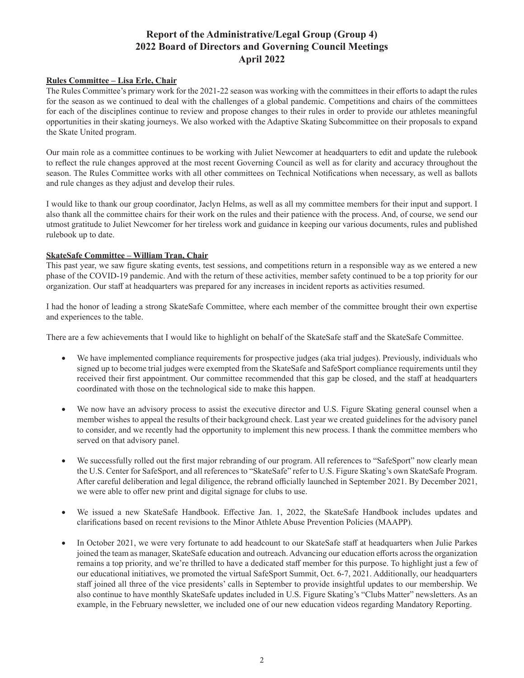# **Report of the Administrative/Legal Group (Group 4) 2022 Board of Directors and Governing Council Meetings April 2022**

### **Rules Committee – Lisa Erle, Chair**

The Rules Committee's primary work for the 2021-22 season was working with the committees in their efforts to adapt the rules for the season as we continued to deal with the challenges of a global pandemic. Competitions and chairs of the committees for each of the disciplines continue to review and propose changes to their rules in order to provide our athletes meaningful opportunities in their skating journeys. We also worked with the Adaptive Skating Subcommittee on their proposals to expand the Skate United program.

Our main role as a committee continues to be working with Juliet Newcomer at headquarters to edit and update the rulebook to reflect the rule changes approved at the most recent Governing Council as well as for clarity and accuracy throughout the season. The Rules Committee works with all other committees on Technical Notifications when necessary, as well as ballots and rule changes as they adjust and develop their rules.

I would like to thank our group coordinator, Jaclyn Helms, as well as all my committee members for their input and support. I also thank all the committee chairs for their work on the rules and their patience with the process. And, of course, we send our utmost gratitude to Juliet Newcomer for her tireless work and guidance in keeping our various documents, rules and published rulebook up to date.

#### **SkateSafe Committee – William Tran, Chair**

This past year, we saw figure skating events, test sessions, and competitions return in a responsible way as we entered a new phase of the COVID-19 pandemic. And with the return of these activities, member safety continued to be a top priority for our organization. Our staff at headquarters was prepared for any increases in incident reports as activities resumed.

I had the honor of leading a strong SkateSafe Committee, where each member of the committee brought their own expertise and experiences to the table.

There are a few achievements that I would like to highlight on behalf of the SkateSafe staff and the SkateSafe Committee.

- We have implemented compliance requirements for prospective judges (aka trial judges). Previously, individuals who signed up to become trial judges were exempted from the SkateSafe and SafeSport compliance requirements until they received their first appointment. Our committee recommended that this gap be closed, and the staff at headquarters coordinated with those on the technological side to make this happen.
- We now have an advisory process to assist the executive director and U.S. Figure Skating general counsel when a member wishes to appeal the results of their background check. Last year we created guidelines for the advisory panel to consider, and we recently had the opportunity to implement this new process. I thank the committee members who served on that advisory panel.
- We successfully rolled out the first major rebranding of our program. All references to "SafeSport" now clearly mean the U.S. Center for SafeSport, and all references to "SkateSafe" refer to U.S. Figure Skating's own SkateSafe Program. After careful deliberation and legal diligence, the rebrand officially launched in September 2021. By December 2021, we were able to offer new print and digital signage for clubs to use.
- We issued a new SkateSafe Handbook. Effective Jan. 1, 2022, the SkateSafe Handbook includes updates and clarifications based on recent revisions to the Minor Athlete Abuse Prevention Policies (MAAPP).
- In October 2021, we were very fortunate to add headcount to our SkateSafe staff at headquarters when Julie Parkes joined the team as manager, SkateSafe education and outreach. Advancing our education efforts across the organization remains a top priority, and we're thrilled to have a dedicated staff member for this purpose. To highlight just a few of our educational initiatives, we promoted the virtual SafeSport Summit, Oct. 6-7, 2021. Additionally, our headquarters staff joined all three of the vice presidents' calls in September to provide insightful updates to our membership. We also continue to have monthly SkateSafe updates included in U.S. Figure Skating's "Clubs Matter" newsletters. As an example, in the February newsletter, we included one of our new education videos regarding Mandatory Reporting.